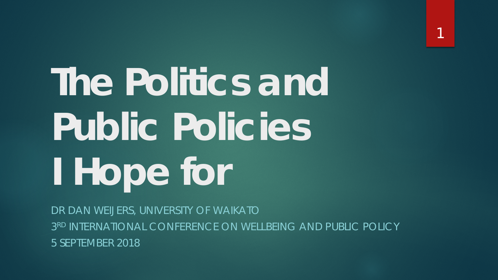**The Politics and Public Policies I Hope for**

DR DAN WEIJERS, UNIVERSITY OF WAIKATO 3RD INTERNATIONAL CONFERENCE ON WELLBEING AND PUBLIC POLICY 5 SEPTEMBER 2018

1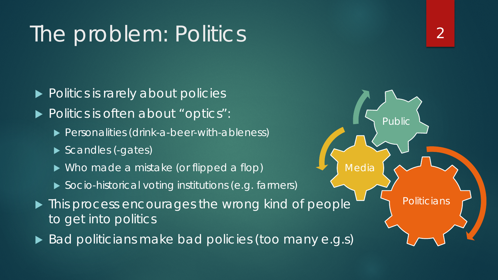### The problem: Politics

- ▶ Politics is rarely about policies
- Politics is often about "optics":
	- Personalities (drink-a-beer-with-ableness)
	- Scandles (-gates)
	- ▶ Who made a mistake (or flipped a flop)
	- ▶ Socio-historical voting institutions (e.g. farmers)
- $\blacktriangleright$  This process encourages the wrong kind of people to get into politics
- Bad politicians make bad policies (too many e.g.s)

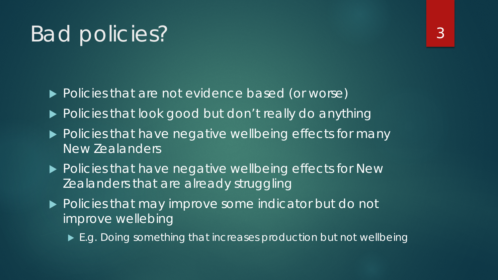#### Bad policies?

- ▶ Policies that are not evidence based (or worse)
- ▶ Policies that look good but don't really do anything
- ▶ Policies that have negative wellbeing effects for many New Zealanders
- ▶ Policies that have negative wellbeing effects for New Zealanders that are already struggling
- ▶ Policies that may improve some indicator but do not improve wellebing
	- ▶ E.g. Doing something that increases production but not wellbeing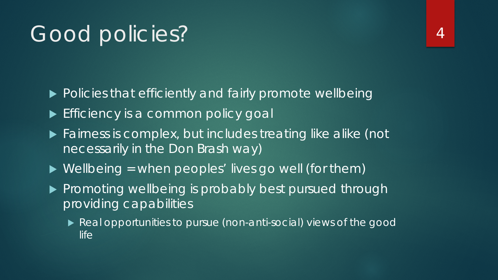### Good policies?

▶ Policies that efficiently and fairly promote wellbeing

- Efficiency is a common policy goal
- **Fairness is complex, but includes treating like alike (not** necessarily in the Don Brash way)
- $\triangleright$  Wellbeing = when peoples' lives go well (for them)
- **Promoting wellbeing is probably best pursued through** providing *capabilities*
	- *Real* opportunities to pursue (non-anti-social) views of the good life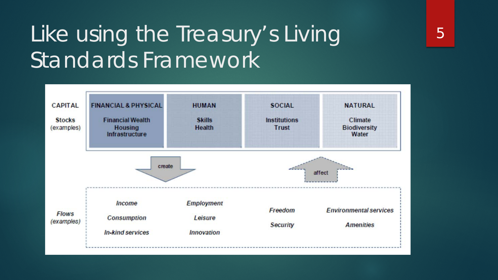## Like using the Treasury's Living Standards Framework

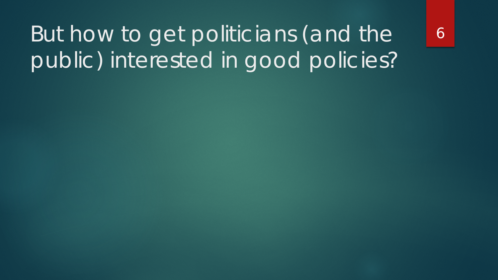# But how to get politicians (and the public) interested in good policies?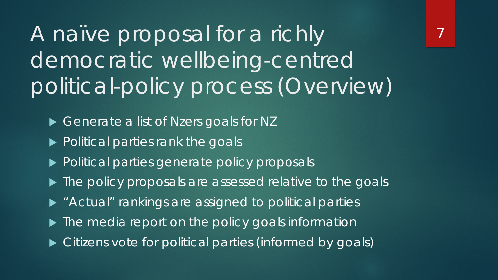A naïve proposal for a richly democratic wellbeing-centred political-policy process (Overview)

- Generate a list of Nzers goals for NZ
- ▶ Political parties rank the goals
- ▶ Political parties generate policy proposals
- $\blacktriangleright$  The policy proposals are assessed relative to the goals
- **> "Actual" rankings are assigned to political parties**
- $\blacktriangleright$  The media report on the policy goals information
- $\blacktriangleright$  Citizens vote for political parties (informed by goals)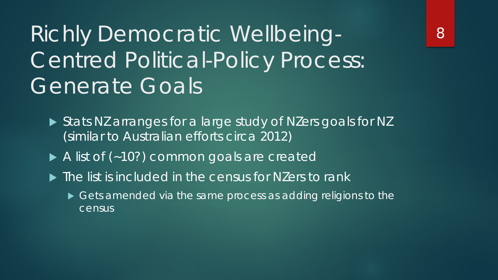Richly Democratic Wellbeing-Centred Political-Policy Process: Generate Goals

- ▶ Stats NZ arranges for a large study of NZers goals for NZ (similar to Australian efforts circa 2012)
- A list of (~10?) common goals are created
- $\blacktriangleright$  The list is included in the census for NZers to rank
	- Gets amended via the same process as adding religions to the census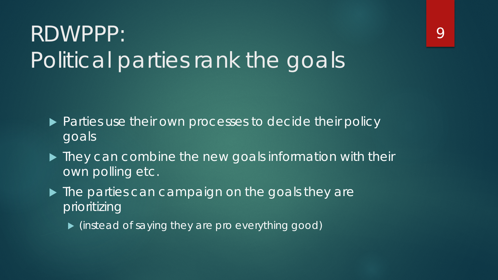# RDWPPP: Political parties rank the goals

- ▶ Parties use their own processes to decide their policy goals
- $\blacktriangleright$  They can combine the new goals information with their own polling etc.
- In The parties can campaign on the goals they are prioritizing
	- (instead of saying they are pro everything good)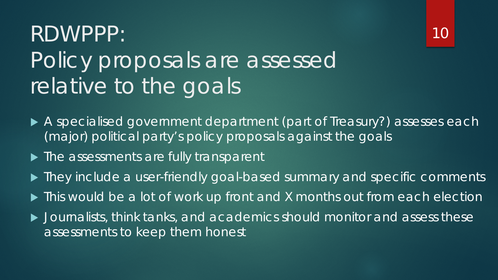# RDWPPP: Policy proposals are assessed relative to the goals



- ▶ The assessments are fully transparent
- ▶ They include a user-friendly goal-based summary and specific comments
- Inis would be a lot of work up front and X months out from each election
- Journalists, think tanks, and academics should monitor and assess these assessments to keep them honest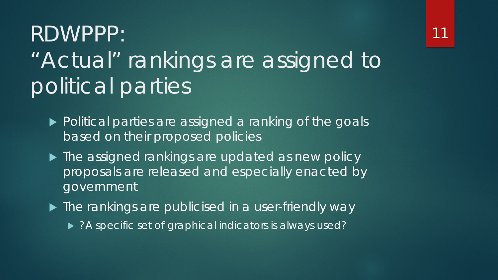### RDWPPP: "Actual" rankings are assigned to political parties

- ▶ Political parties are assigned a ranking of the goals based on their proposed policies
- ▶ The assigned rankings are updated as new policy proposals are released and especially enacted by government
- ▶ The rankings are publicised in a user-friendly way
	- ▶ ?A specific set of graphical indicators is always used?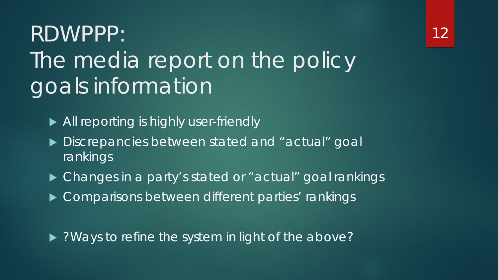# RDWPPP: The media report on the policy goals information

- All reporting is highly user-friendly
- Discrepancies between stated and "actual" goal rankings
- ▶ Changes in a party's stated or "actual" goal rankings
- ▶ Comparisons between different parties' rankings

• ?Ways to refine the system in light of the above?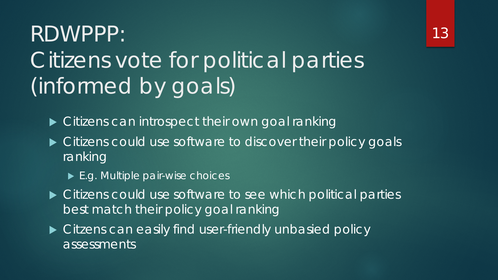# RDWPPP: Citizens vote for political parties (informed by goals)

- ▶ Citizens can introspect their own goal ranking
- $\blacktriangleright$  Citizens could use software to discover their policy goals ranking
	- ► E.g. Multiple pair-wise choices
- ▶ Citizens could use software to see which political parties best match their policy goal ranking
- ▶ Citzens can easily find user-friendly unbasied policy assessments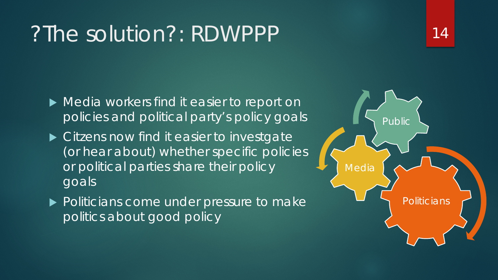#### ?The solution?: RDWPPP

- $\blacktriangleright$  Media workers find it easier to report on policies and political party's policy goals
- ▶ Citzens now find it easier to investgate (or hear about) whether specific policies or political parties share their policy goals
- ▶ Politicians come under pressure to make politics about good policy



14